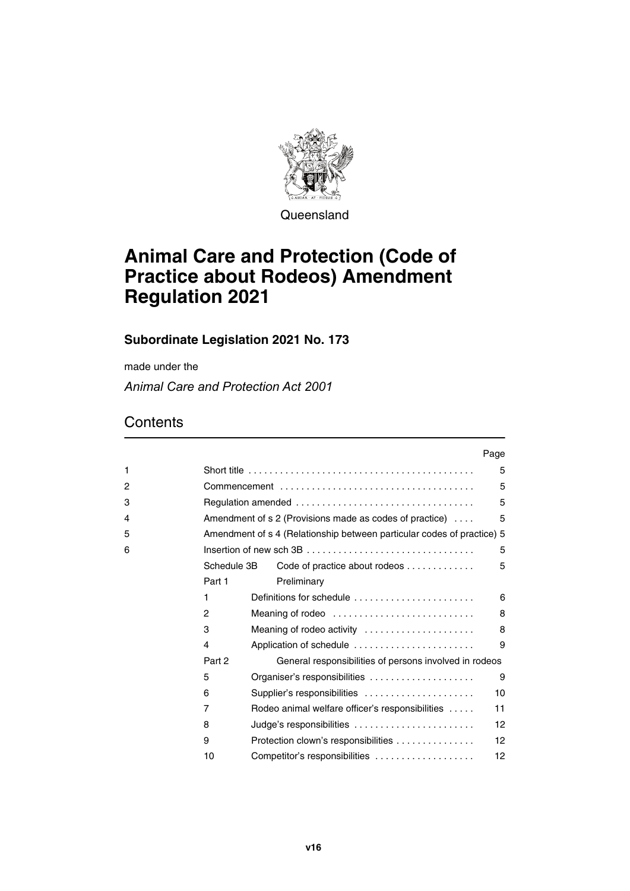

**Queensland** 

# **Animal Care and Protection (Code of Practice about Rodeos) Amendment Regulation 2021**

## **Subordinate Legislation 2021 No. 173**

made under the

*Animal Care and Protection Act 2001*

|   |             |                                                                           | Page |
|---|-------------|---------------------------------------------------------------------------|------|
| 1 |             |                                                                           | 5    |
| 2 |             |                                                                           | 5    |
| 3 |             |                                                                           | 5    |
| 4 |             | Amendment of $s \, 2$ (Provisions made as codes of practice) $\ldots$     | 5    |
| 5 |             | Amendment of s 4 (Relationship between particular codes of practice) 5    |      |
| 6 |             |                                                                           | 5    |
|   | Schedule 3B | Code of practice about rodeos                                             | 5    |
|   | Part 1      | Preliminary                                                               |      |
|   | 1           | Definitions for schedule $\ldots, \ldots, \ldots, \ldots, \ldots, \ldots$ | 6    |
|   | 2           | Meaning of rodeo                                                          | 8    |
|   | 3           | Meaning of rodeo activity                                                 | 8    |
|   | 4           | Application of schedule                                                   | 9    |
|   | Part 2      | General responsibilities of persons involved in rodeos                    |      |
|   | 5           | Organiser's responsibilities                                              | 9    |
|   | 6           | Supplier's responsibilities                                               | 10   |
|   | 7           | Rodeo animal welfare officer's responsibilities                           | 11   |
|   | 8           | Judge's responsibilities                                                  | 12   |
|   | 9           | Protection clown's responsibilities                                       | 12   |
|   | 10          | Competitor's responsibilities                                             | 12   |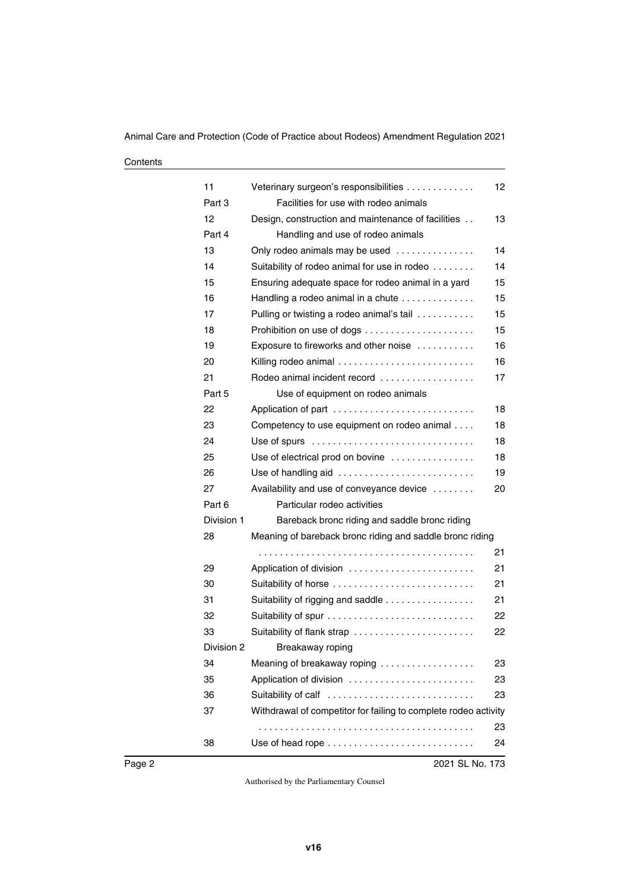| 11         | Veterinary surgeon's responsibilities                           | 12 |
|------------|-----------------------------------------------------------------|----|
| Part 3     | Facilities for use with rodeo animals                           |    |
| 12         | Design, construction and maintenance of facilities              | 13 |
| Part 4     | Handling and use of rodeo animals                               |    |
| 13         | Only rodeo animals may be used                                  | 14 |
| 14         | Suitability of rodeo animal for use in rodeo                    | 14 |
| 15         | Ensuring adequate space for rodeo animal in a yard              | 15 |
| 16         | Handling a rodeo animal in a chute                              | 15 |
| 17         | Pulling or twisting a rodeo animal's tail                       | 15 |
| 18         |                                                                 | 15 |
| 19         | Exposure to fireworks and other noise                           | 16 |
| 20         | Killing rodeo animal                                            | 16 |
| 21         | Rodeo animal incident record                                    | 17 |
| Part 5     | Use of equipment on rodeo animals                               |    |
| 22         |                                                                 | 18 |
| 23         | Competency to use equipment on rodeo animal                     | 18 |
| 24         |                                                                 | 18 |
| 25         | Use of electrical prod on bovine                                | 18 |
| 26         | Use of handling aid                                             | 19 |
| 27         | Availability and use of conveyance device                       | 20 |
| Part 6     | Particular rodeo activities                                     |    |
| Division 1 | Bareback bronc riding and saddle bronc riding                   |    |
| 28         | Meaning of bareback bronc riding and saddle bronc riding        |    |
|            |                                                                 | 21 |
| 29         | Application of division                                         | 21 |
| 30         | Suitability of horse                                            | 21 |
| 31         | Suitability of rigging and saddle                               | 21 |
| 32         |                                                                 | 22 |
| 33         | Suitability of flank strap                                      | 22 |
| Division 2 | Breakaway roping                                                |    |
| 34         | Meaning of breakaway roping                                     | 23 |
| 35         | Application of division                                         | 23 |
| 36         | Suitability of calf                                             | 23 |
| 37         | Withdrawal of competitor for failing to complete rodeo activity |    |
|            |                                                                 | 23 |
| 38         |                                                                 | 24 |
|            |                                                                 |    |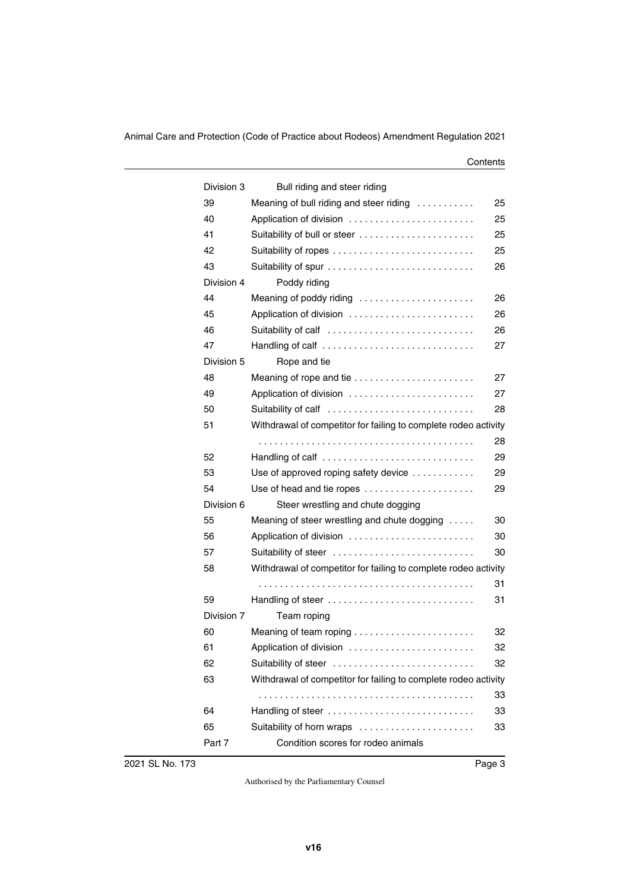| Division 3 | Bull riding and steer riding                                    |    |
|------------|-----------------------------------------------------------------|----|
| 39         | Meaning of bull riding and steer riding                         | 25 |
| 40         | Application of division                                         | 25 |
| 41         | Suitability of bull or steer                                    | 25 |
| 42         |                                                                 | 25 |
| 43         |                                                                 | 26 |
| Division 4 | Poddy riding                                                    |    |
| 44         | Meaning of poddy riding                                         | 26 |
| 45         | Application of division                                         | 26 |
| 46         | Suitability of calf                                             | 26 |
| 47         | Handling of calf                                                | 27 |
| Division 5 | Rope and tie                                                    |    |
| 48         | Meaning of rope and tie                                         | 27 |
| 49         | Application of division                                         | 27 |
| 50         | Suitability of calf                                             | 28 |
| 51         | Withdrawal of competitor for failing to complete rodeo activity |    |
|            |                                                                 | 28 |
| 52         | Handling of calf                                                | 29 |
| 53         | Use of approved roping safety device                            | 29 |
| 54         | Use of head and tie ropes                                       | 29 |
| Division 6 | Steer wrestling and chute dogging                               |    |
| 55         | Meaning of steer wrestling and chute dogging                    | 30 |
| 56         | Application of division                                         | 30 |
| 57         | Suitability of steer                                            | 30 |
| 58         | Withdrawal of competitor for failing to complete rodeo activity |    |
|            |                                                                 | 31 |
| 59         | Handling of steer                                               | 31 |
| Division 7 | Team roping                                                     |    |
| 60         |                                                                 | 32 |
| 61         | Application of division                                         | 32 |
| 62         | Suitability of steer                                            | 32 |
| 63         | Withdrawal of competitor for failing to complete rodeo activity |    |
|            |                                                                 | 33 |
| 64         | Handling of steer                                               | 33 |
| 65         | Suitability of horn wraps                                       | 33 |
| Part 7     | Condition scores for rodeo animals                              |    |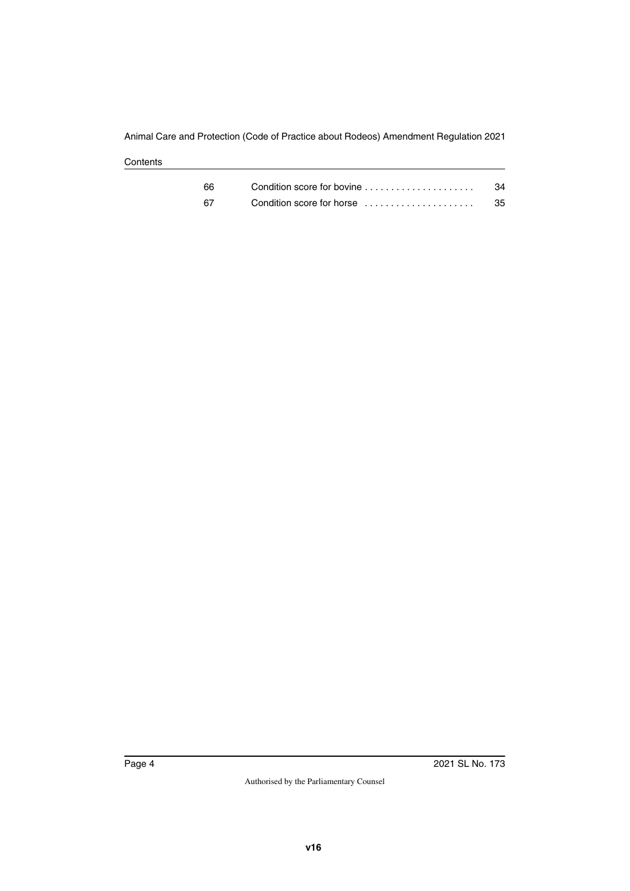| 66. | Condition score for bovine | 34 |
|-----|----------------------------|----|
| 67  | Condition score for horse  | 35 |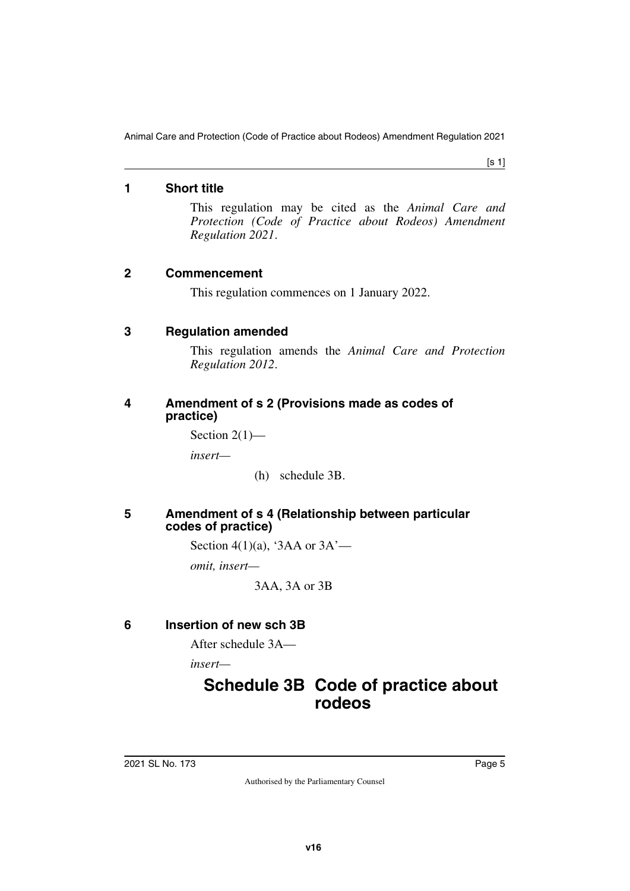[s 1]

#### <span id="page-4-0"></span>**1 Short title**

<span id="page-4-1"></span>This regulation may be cited as the *Animal Care and Protection (Code of Practice about Rodeos) Amendment Regulation 2021*.

#### <span id="page-4-2"></span>**2 Commencement**

<span id="page-4-3"></span>This regulation commences on 1 January 2022.

#### <span id="page-4-4"></span>**3 Regulation amended**

<span id="page-4-5"></span>This regulation amends the *Animal Care and Protection Regulation 2012*.

#### <span id="page-4-7"></span><span id="page-4-6"></span>**4 Amendment of s 2 (Provisions made as codes of practice)**

Section  $2(1)$ —

*insert—*

(h) schedule 3B.

#### <span id="page-4-9"></span><span id="page-4-8"></span>**5 Amendment of s 4 (Relationship between particular codes of practice)**

Section 4(1)(a), '3AA or  $3A'$ —

*omit, insert—*

<span id="page-4-13"></span>3AA, 3A or 3B

## <span id="page-4-10"></span>**6 Insertion of new sch 3B**

<span id="page-4-11"></span>After schedule 3A—

*insert—*

# <span id="page-4-12"></span>**Schedule 3B Code of practice about rodeos**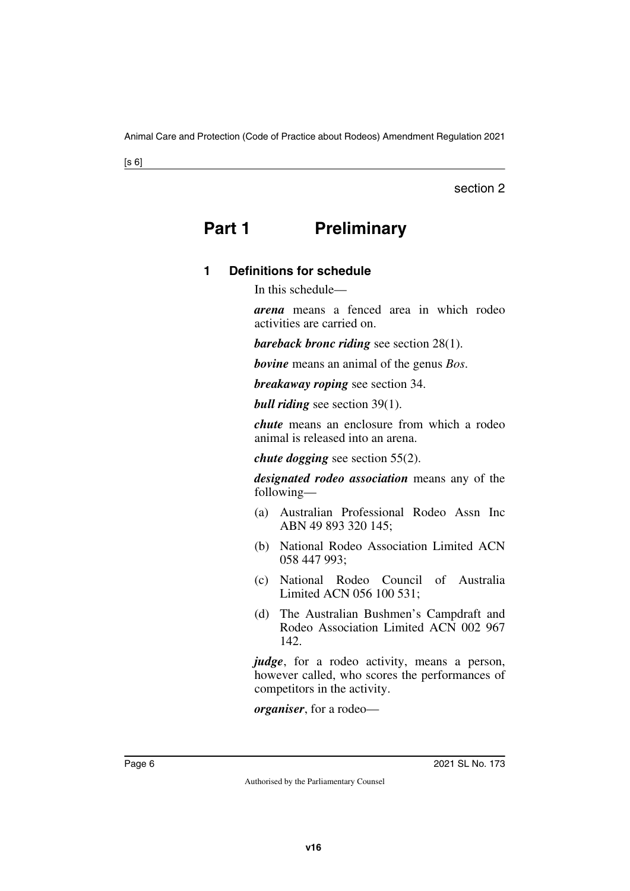#### section 2

# <span id="page-5-0"></span>**Part 1** Preliminary

## <span id="page-5-3"></span><span id="page-5-2"></span>**1 Definitions for schedule**

<span id="page-5-1"></span>In this schedule—

*arena* means a fenced area in which rodeo activities are carried on.

*bareback bronc riding* see section 28(1).

*bovine* means an animal of the genus *Bos*.

*breakaway roping* see section 34.

*bull riding* see section 39(1).

*chute* means an enclosure from which a rodeo animal is released into an arena.

*chute dogging* see section 55(2).

*designated rodeo association* means any of the following—

- (a) Australian Professional Rodeo Assn Inc ABN 49 893 320 145;
- (b) National Rodeo Association Limited ACN 058 447 993;
- (c) National Rodeo Council of Australia Limited ACN 056 100 531;
- (d) The Australian Bushmen's Campdraft and Rodeo Association Limited ACN 002 967 142.

*judge*, for a rodeo activity, means a person, however called, who scores the performances of competitors in the activity.

*organiser*, for a rodeo—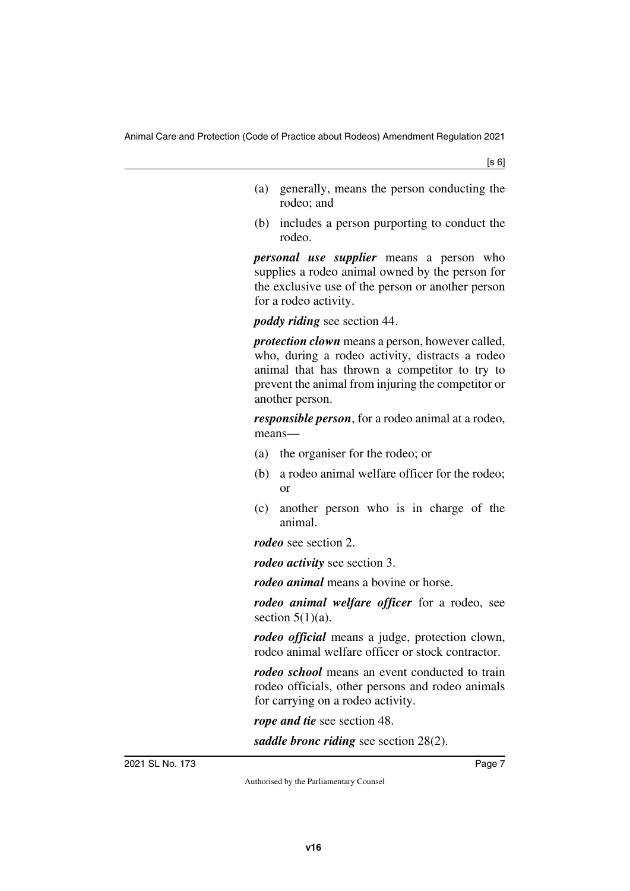- (a) generally, means the person conducting the rodeo; and
- (b) includes a person purporting to conduct the rodeo.

*personal use supplier* means a person who supplies a rodeo animal owned by the person for the exclusive use of the person or another person for a rodeo activity.

*poddy riding* see section 44.

*protection clown* means a person, however called, who, during a rodeo activity, distracts a rodeo animal that has thrown a competitor to try to prevent the animal from injuring the competitor or another person.

*responsible person*, for a rodeo animal at a rodeo, means—

- (a) the organiser for the rodeo; or
- (b) a rodeo animal welfare officer for the rodeo; or
- (c) another person who is in charge of the animal.

*rodeo* see section 2.

*rodeo activity* see section 3.

*rodeo animal* means a bovine or horse.

*rodeo animal welfare officer* for a rodeo, see section  $5(1)(a)$ .

*rodeo official* means a judge, protection clown, rodeo animal welfare officer or stock contractor.

*rodeo school* means an event conducted to train rodeo officials, other persons and rodeo animals for carrying on a rodeo activity.

*rope and tie* see section 48.

*saddle bronc riding* see section 28(2).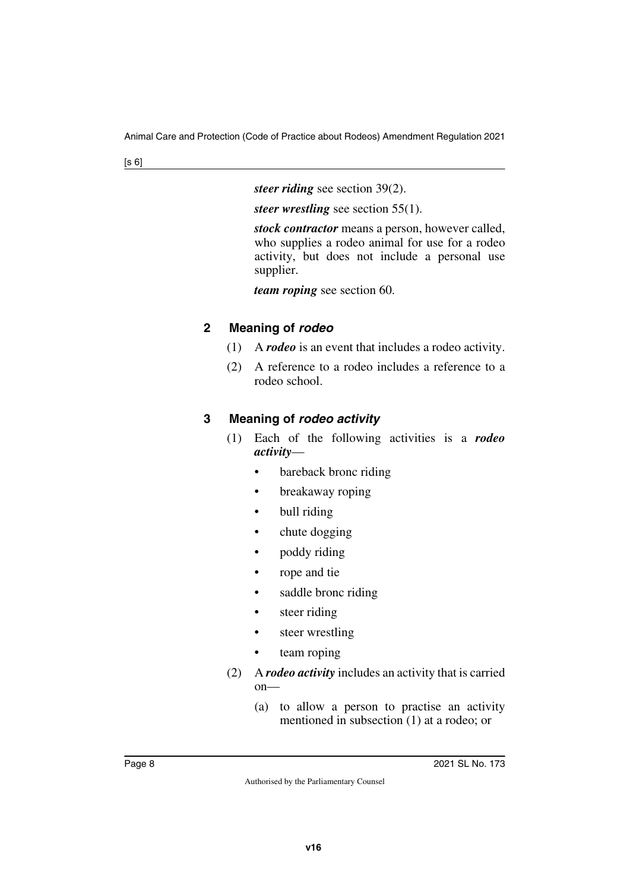*steer riding* see section 39(2).

*steer wrestling* see section 55(1).

*stock contractor* means a person, however called, who supplies a rodeo animal for use for a rodeo activity, but does not include a personal use supplier.

*team roping* see section 60.

#### <span id="page-7-1"></span><span id="page-7-0"></span>**2 Meaning of** *rodeo*

- (1) A *rodeo* is an event that includes a rodeo activity.
- (2) A reference to a rodeo includes a reference to a rodeo school.

## <span id="page-7-3"></span><span id="page-7-2"></span>**3 Meaning of** *rodeo activity*

- (1) Each of the following activities is a *rodeo activity*
	- bareback bronc riding
	- breakaway roping
	- bull riding
	- chute dogging
	- poddy riding
	- rope and tie
	- saddle bronc riding
	- steer riding
	- steer wrestling
	- team roping
- (2) A *rodeo activity* includes an activity that is carried on—
	- (a) to allow a person to practise an activity mentioned in subsection (1) at a rodeo; or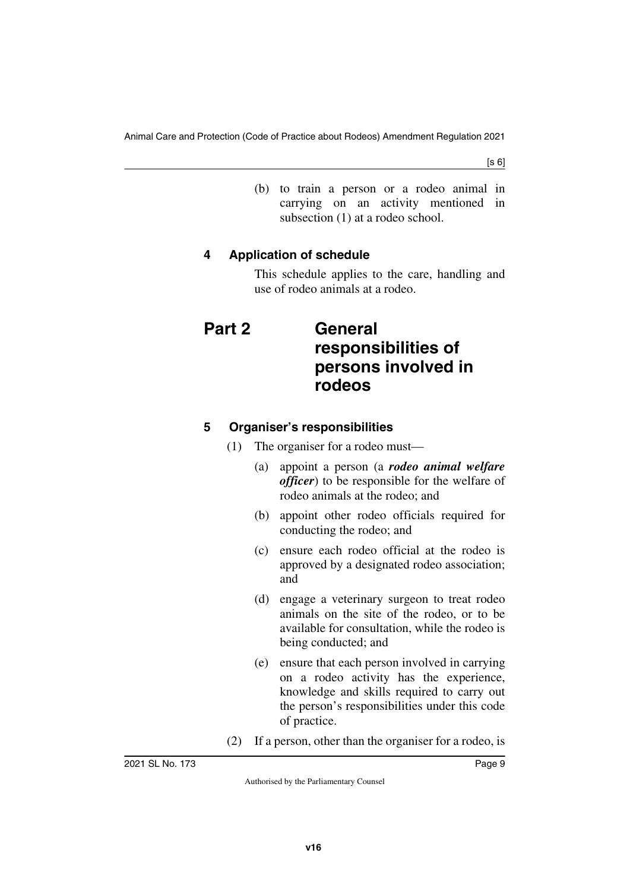(b) to train a person or a rodeo animal in carrying on an activity mentioned in subsection (1) at a rodeo school.

## <span id="page-8-1"></span><span id="page-8-0"></span>**4 Application of schedule**

<span id="page-8-3"></span>This schedule applies to the care, handling and use of rodeo animals at a rodeo.

# <span id="page-8-2"></span>**Part 2 General responsibilities of persons involved in rodeos**

## <span id="page-8-5"></span><span id="page-8-4"></span>**5 Organiser's responsibilities**

- (1) The organiser for a rodeo must—
	- (a) appoint a person (a *rodeo animal welfare officer*) to be responsible for the welfare of rodeo animals at the rodeo; and
	- (b) appoint other rodeo officials required for conducting the rodeo; and
	- (c) ensure each rodeo official at the rodeo is approved by a designated rodeo association; and
	- (d) engage a veterinary surgeon to treat rodeo animals on the site of the rodeo, or to be available for consultation, while the rodeo is being conducted; and
	- (e) ensure that each person involved in carrying on a rodeo activity has the experience, knowledge and skills required to carry out the person's responsibilities under this code of practice.
- (2) If a person, other than the organiser for a rodeo, is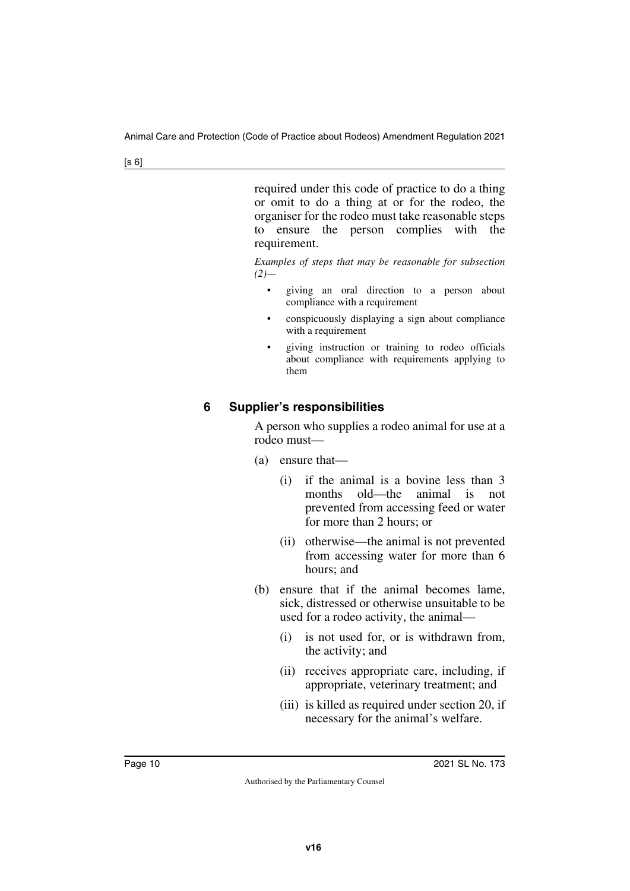required under this code of practice to do a thing or omit to do a thing at or for the rodeo, the organiser for the rodeo must take reasonable steps to ensure the person complies with the requirement.

*Examples of steps that may be reasonable for subsection (2)—*

- giving an oral direction to a person about compliance with a requirement
- conspicuously displaying a sign about compliance with a requirement
- giving instruction or training to rodeo officials about compliance with requirements applying to them

## <span id="page-9-1"></span><span id="page-9-0"></span>**6 Supplier's responsibilities**

A person who supplies a rodeo animal for use at a rodeo must—

- (a) ensure that—
	- (i) if the animal is a bovine less than 3 months old—the animal is not prevented from accessing feed or water for more than 2 hours; or
	- (ii) otherwise—the animal is not prevented from accessing water for more than 6 hours; and
- (b) ensure that if the animal becomes lame, sick, distressed or otherwise unsuitable to be used for a rodeo activity, the animal—
	- (i) is not used for, or is withdrawn from, the activity; and
	- (ii) receives appropriate care, including, if appropriate, veterinary treatment; and
	- (iii) is killed as required under section 20, if necessary for the animal's welfare.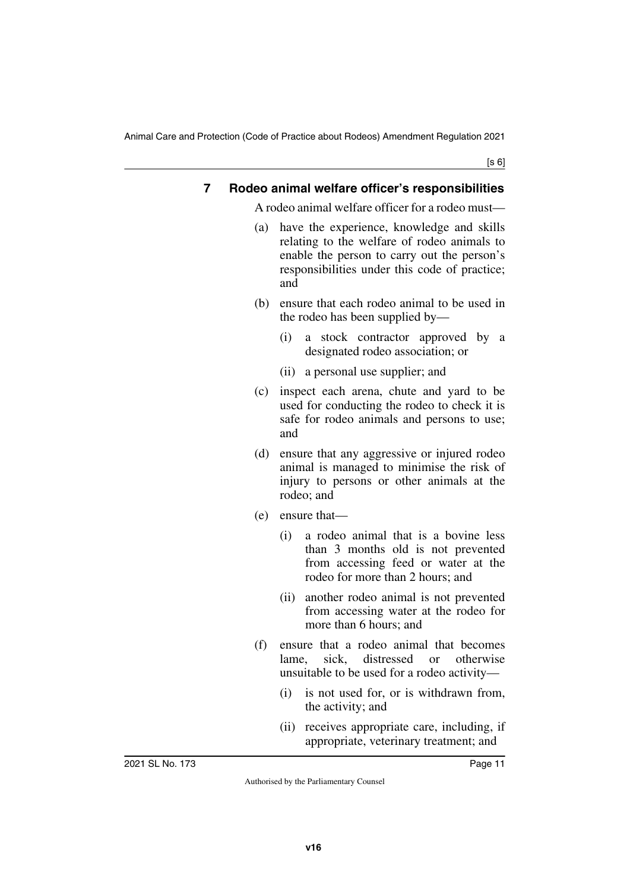[s 6]

#### <span id="page-10-1"></span><span id="page-10-0"></span>**7 Rodeo animal welfare officer's responsibilities**

A rodeo animal welfare officer for a rodeo must—

- (a) have the experience, knowledge and skills relating to the welfare of rodeo animals to enable the person to carry out the person's responsibilities under this code of practice; and
- (b) ensure that each rodeo animal to be used in the rodeo has been supplied by—
	- (i) a stock contractor approved by a designated rodeo association; or
	- (ii) a personal use supplier; and
- (c) inspect each arena, chute and yard to be used for conducting the rodeo to check it is safe for rodeo animals and persons to use; and
- (d) ensure that any aggressive or injured rodeo animal is managed to minimise the risk of injury to persons or other animals at the rodeo; and
- (e) ensure that—
	- (i) a rodeo animal that is a bovine less than 3 months old is not prevented from accessing feed or water at the rodeo for more than 2 hours; and
	- (ii) another rodeo animal is not prevented from accessing water at the rodeo for more than 6 hours; and
- (f) ensure that a rodeo animal that becomes lame, sick, distressed or otherwise unsuitable to be used for a rodeo activity—
	- (i) is not used for, or is withdrawn from, the activity; and
	- (ii) receives appropriate care, including, if appropriate, veterinary treatment; and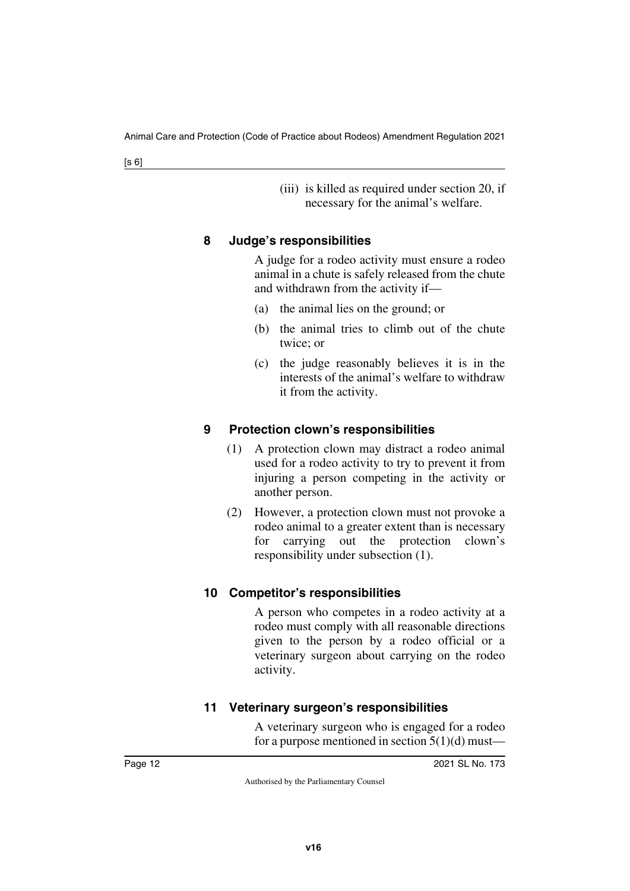(iii) is killed as required under section 20, if necessary for the animal's welfare.

#### <span id="page-11-1"></span><span id="page-11-0"></span>**8 Judge's responsibilities**

A judge for a rodeo activity must ensure a rodeo animal in a chute is safely released from the chute and withdrawn from the activity if—

- (a) the animal lies on the ground; or
- (b) the animal tries to climb out of the chute twice; or
- (c) the judge reasonably believes it is in the interests of the animal's welfare to withdraw it from the activity.

#### <span id="page-11-3"></span><span id="page-11-2"></span>**9 Protection clown's responsibilities**

- (1) A protection clown may distract a rodeo animal used for a rodeo activity to try to prevent it from injuring a person competing in the activity or another person.
- (2) However, a protection clown must not provoke a rodeo animal to a greater extent than is necessary for carrying out the protection clown's responsibility under subsection (1).

#### <span id="page-11-5"></span><span id="page-11-4"></span>**10 Competitor's responsibilities**

A person who competes in a rodeo activity at a rodeo must comply with all reasonable directions given to the person by a rodeo official or a veterinary surgeon about carrying on the rodeo activity.

## <span id="page-11-7"></span><span id="page-11-6"></span>**11 Veterinary surgeon's responsibilities**

A veterinary surgeon who is engaged for a rodeo for a purpose mentioned in section  $5(1)(d)$  must—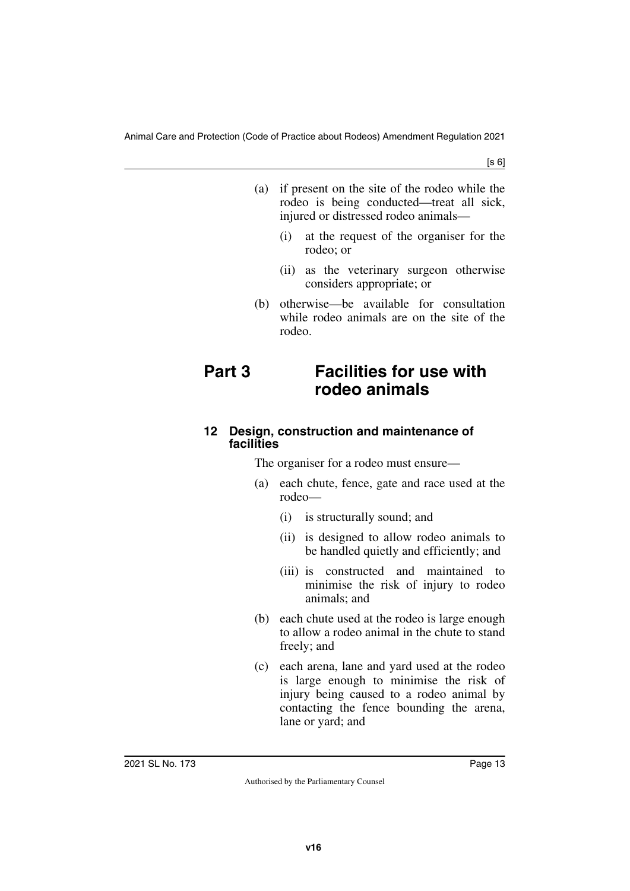[s 6]

- (a) if present on the site of the rodeo while the rodeo is being conducted—treat all sick, injured or distressed rodeo animals—
	- (i) at the request of the organiser for the rodeo; or
	- (ii) as the veterinary surgeon otherwise considers appropriate; or
- <span id="page-12-1"></span>(b) otherwise—be available for consultation while rodeo animals are on the site of the rodeo.

## <span id="page-12-0"></span>**Part 3 Facilities for use with rodeo animals**

#### <span id="page-12-3"></span><span id="page-12-2"></span>**12 Design, construction and maintenance of facilities**

The organiser for a rodeo must ensure—

- (a) each chute, fence, gate and race used at the rodeo—
	- (i) is structurally sound; and
	- (ii) is designed to allow rodeo animals to be handled quietly and efficiently; and
	- (iii) is constructed and maintained to minimise the risk of injury to rodeo animals; and
- (b) each chute used at the rodeo is large enough to allow a rodeo animal in the chute to stand freely; and
- (c) each arena, lane and yard used at the rodeo is large enough to minimise the risk of injury being caused to a rodeo animal by contacting the fence bounding the arena, lane or yard; and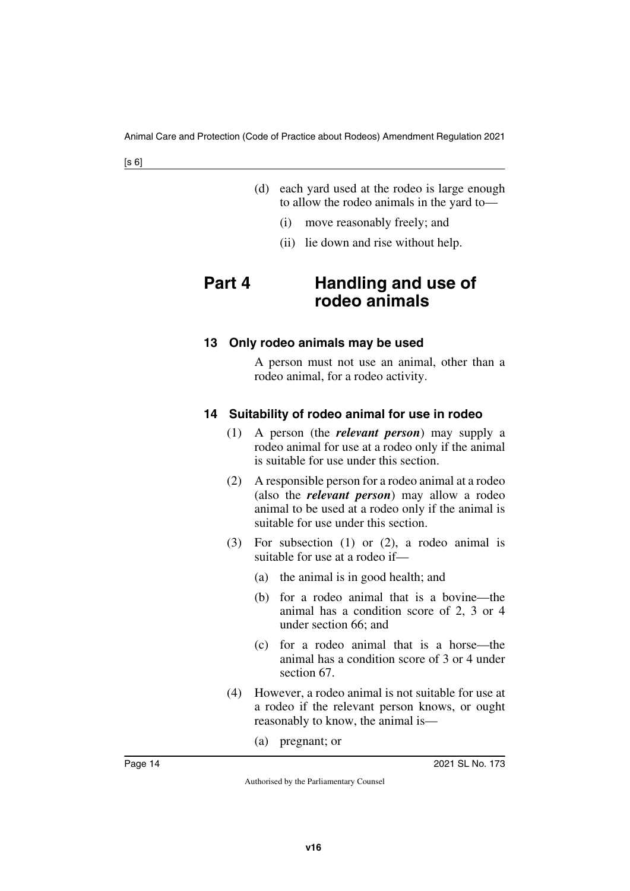| (d) each yard used at the rodeo is large enough |
|-------------------------------------------------|
| to allow the rodeo animals in the yard to-      |

- (i) move reasonably freely; and
- <span id="page-13-1"></span>(ii) lie down and rise without help.

# <span id="page-13-0"></span>**Part 4 Handling and use of rodeo animals**

#### <span id="page-13-3"></span><span id="page-13-2"></span>**13 Only rodeo animals may be used**

A person must not use an animal, other than a rodeo animal, for a rodeo activity.

#### <span id="page-13-5"></span><span id="page-13-4"></span>**14 Suitability of rodeo animal for use in rodeo**

- (1) A person (the *relevant person*) may supply a rodeo animal for use at a rodeo only if the animal is suitable for use under this section.
- (2) A responsible person for a rodeo animal at a rodeo (also the *relevant person*) may allow a rodeo animal to be used at a rodeo only if the animal is suitable for use under this section.
- (3) For subsection (1) or (2), a rodeo animal is suitable for use at a rodeo if—
	- (a) the animal is in good health; and
	- (b) for a rodeo animal that is a bovine—the animal has a condition score of 2, 3 or 4 under section 66; and
	- (c) for a rodeo animal that is a horse—the animal has a condition score of 3 or 4 under section 67.
- (4) However, a rodeo animal is not suitable for use at a rodeo if the relevant person knows, or ought reasonably to know, the animal is—
	- (a) pregnant; or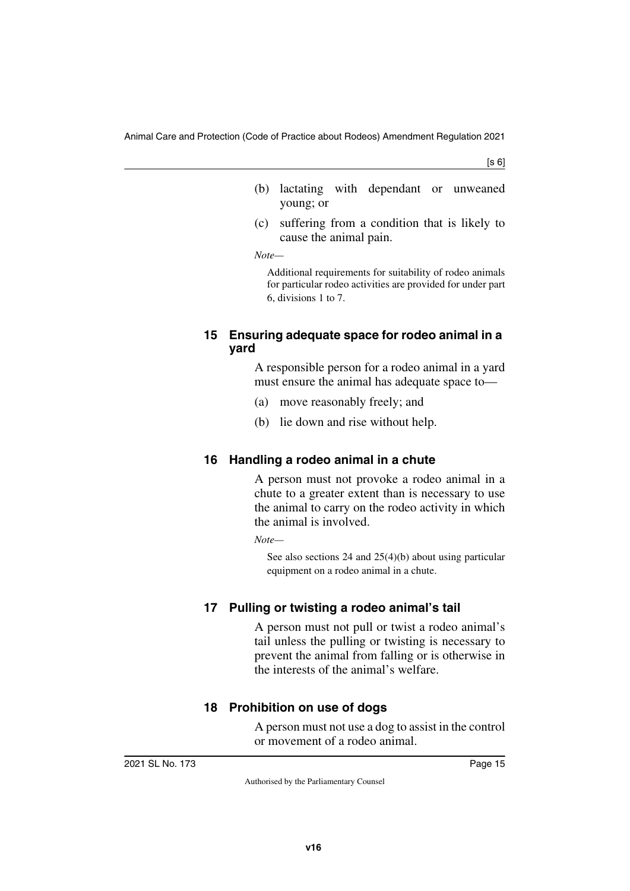- (b) lactating with dependant or unweaned young; or
- (c) suffering from a condition that is likely to cause the animal pain.

*Note—*

Additional requirements for suitability of rodeo animals for particular rodeo activities are provided for under part 6, divisions 1 to 7.

#### <span id="page-14-1"></span><span id="page-14-0"></span>**15 Ensuring adequate space for rodeo animal in a yard**

A responsible person for a rodeo animal in a yard must ensure the animal has adequate space to—

- (a) move reasonably freely; and
- (b) lie down and rise without help.

## <span id="page-14-3"></span><span id="page-14-2"></span>**16 Handling a rodeo animal in a chute**

A person must not provoke a rodeo animal in a chute to a greater extent than is necessary to use the animal to carry on the rodeo activity in which the animal is involved.

*Note—*

See also sections 24 and 25(4)(b) about using particular equipment on a rodeo animal in a chute.

## <span id="page-14-5"></span><span id="page-14-4"></span>**17 Pulling or twisting a rodeo animal's tail**

A person must not pull or twist a rodeo animal's tail unless the pulling or twisting is necessary to prevent the animal from falling or is otherwise in the interests of the animal's welfare.

## <span id="page-14-7"></span><span id="page-14-6"></span>**18 Prohibition on use of dogs**

A person must not use a dog to assist in the control or movement of a rodeo animal.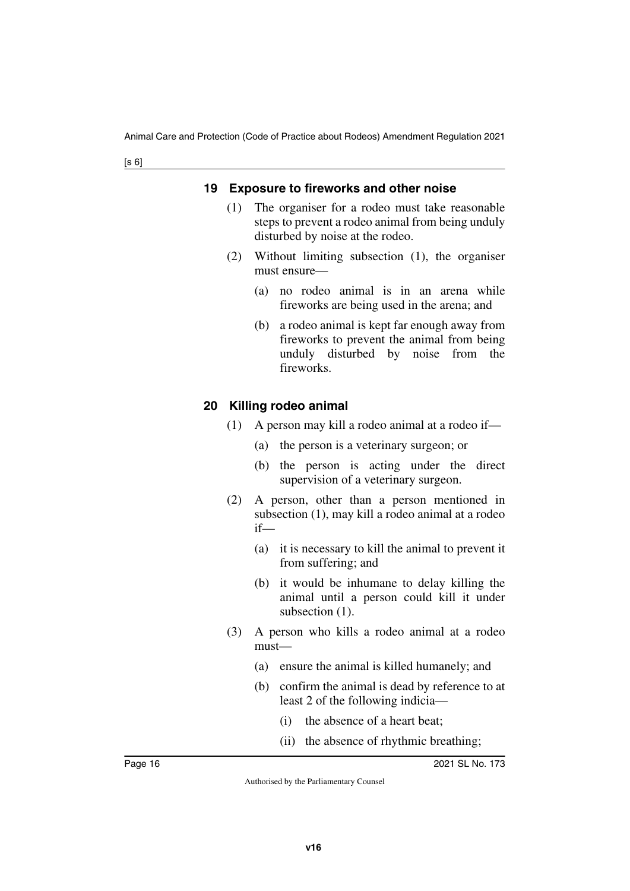#### <span id="page-15-1"></span><span id="page-15-0"></span>**19 Exposure to fireworks and other noise**

- (1) The organiser for a rodeo must take reasonable steps to prevent a rodeo animal from being unduly disturbed by noise at the rodeo.
- (2) Without limiting subsection (1), the organiser must ensure—
	- (a) no rodeo animal is in an arena while fireworks are being used in the arena; and
	- (b) a rodeo animal is kept far enough away from fireworks to prevent the animal from being unduly disturbed by noise from the fireworks.

#### <span id="page-15-3"></span><span id="page-15-2"></span>**20 Killing rodeo animal**

- (1) A person may kill a rodeo animal at a rodeo if—
	- (a) the person is a veterinary surgeon; or
	- (b) the person is acting under the direct supervision of a veterinary surgeon.
- (2) A person, other than a person mentioned in subsection (1), may kill a rodeo animal at a rodeo if—
	- (a) it is necessary to kill the animal to prevent it from suffering; and
	- (b) it would be inhumane to delay killing the animal until a person could kill it under subsection  $(1)$ .
- (3) A person who kills a rodeo animal at a rodeo must—
	- (a) ensure the animal is killed humanely; and
	- (b) confirm the animal is dead by reference to at least 2 of the following indicia—
		- (i) the absence of a heart beat;
		- (ii) the absence of rhythmic breathing;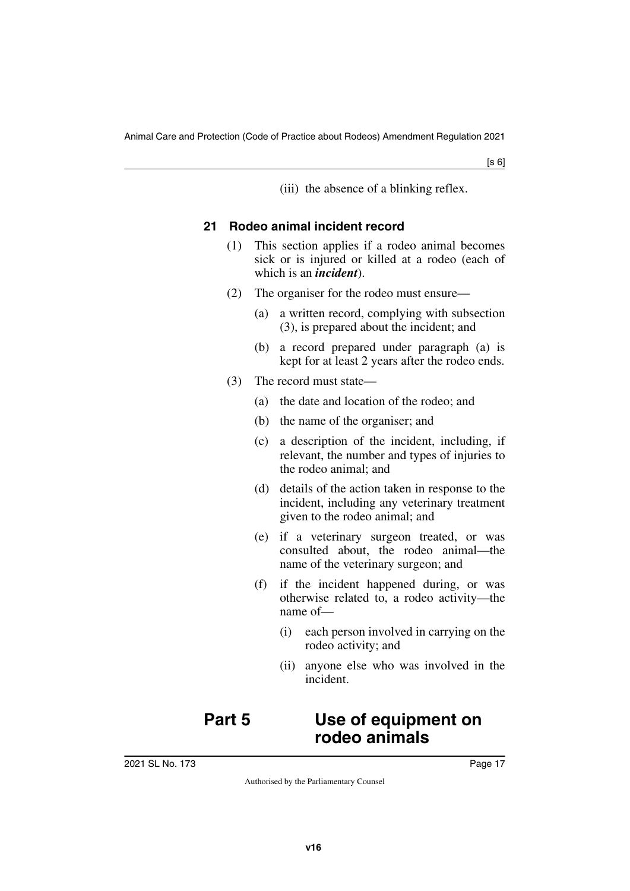(iii) the absence of a blinking reflex.

#### <span id="page-16-0"></span>**21 Rodeo animal incident record**

- <span id="page-16-1"></span>(1) This section applies if a rodeo animal becomes sick or is injured or killed at a rodeo (each of which is an *incident*).
- (2) The organiser for the rodeo must ensure—
	- (a) a written record, complying with subsection (3), is prepared about the incident; and
	- (b) a record prepared under paragraph (a) is kept for at least 2 years after the rodeo ends.
- (3) The record must state—
	- (a) the date and location of the rodeo; and
	- (b) the name of the organiser; and
	- (c) a description of the incident, including, if relevant, the number and types of injuries to the rodeo animal; and
	- (d) details of the action taken in response to the incident, including any veterinary treatment given to the rodeo animal; and
	- (e) if a veterinary surgeon treated, or was consulted about, the rodeo animal—the name of the veterinary surgeon; and
	- (f) if the incident happened during, or was otherwise related to, a rodeo activity—the name of—
		- (i) each person involved in carrying on the rodeo activity; and
		- (ii) anyone else who was involved in the incident.

# <span id="page-16-3"></span><span id="page-16-2"></span>**Part 5 Use of equipment on rodeo animals**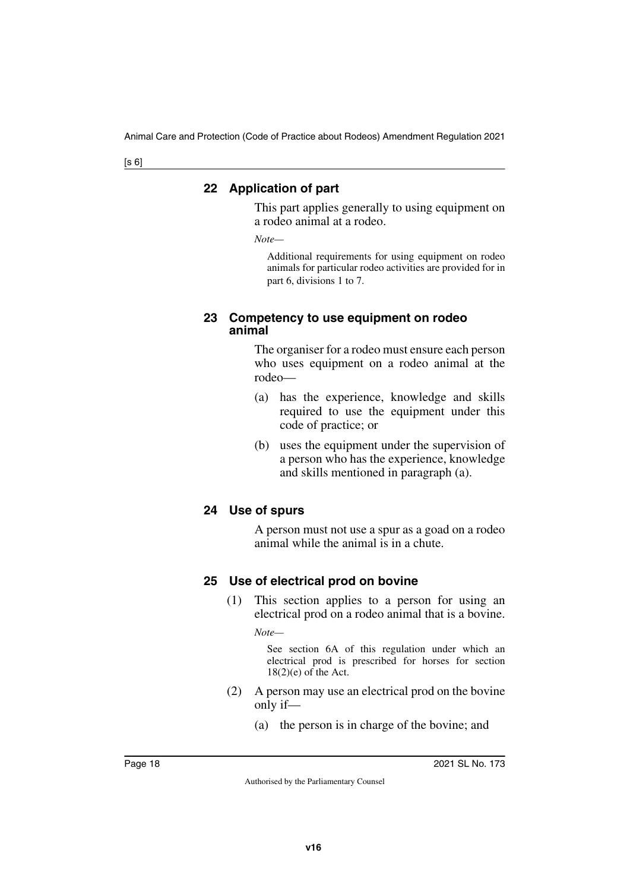#### <span id="page-17-1"></span><span id="page-17-0"></span>**22 Application of part**

This part applies generally to using equipment on a rodeo animal at a rodeo.

*Note—*

Additional requirements for using equipment on rodeo animals for particular rodeo activities are provided for in part 6, divisions 1 to 7.

#### <span id="page-17-3"></span><span id="page-17-2"></span>**23 Competency to use equipment on rodeo animal**

The organiser for a rodeo must ensure each person who uses equipment on a rodeo animal at the rodeo—

- (a) has the experience, knowledge and skills required to use the equipment under this code of practice; or
- (b) uses the equipment under the supervision of a person who has the experience, knowledge and skills mentioned in paragraph (a).

## <span id="page-17-5"></span><span id="page-17-4"></span>**24 Use of spurs**

A person must not use a spur as a goad on a rodeo animal while the animal is in a chute.

## <span id="page-17-7"></span><span id="page-17-6"></span>**25 Use of electrical prod on bovine**

(1) This section applies to a person for using an electrical prod on a rodeo animal that is a bovine.

*Note—*

See section 6A of this regulation under which an electrical prod is prescribed for horses for section  $18(2)(e)$  of the Act.

- (2) A person may use an electrical prod on the bovine only if—
	- (a) the person is in charge of the bovine; and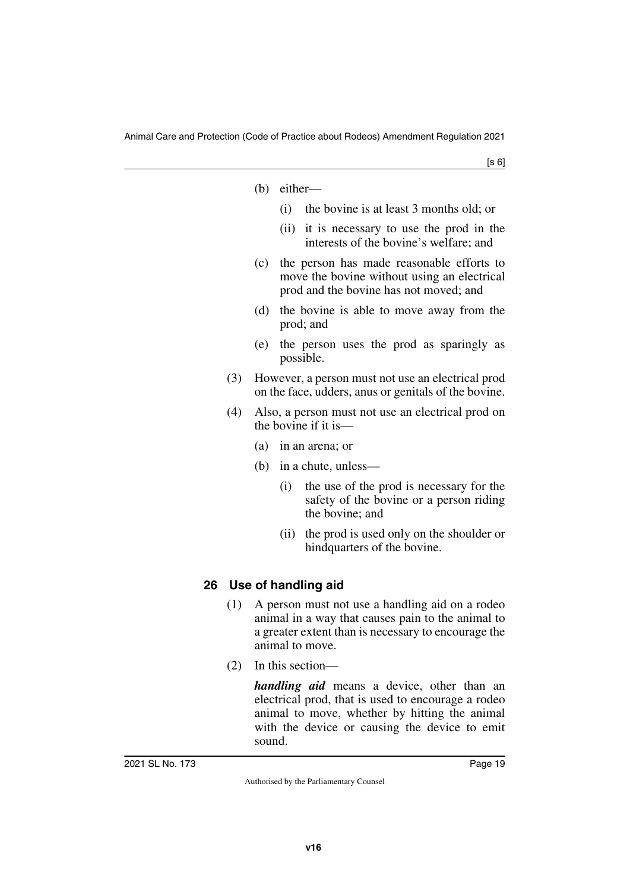| (b) | either- |
|-----|---------|
|     |         |

- (i) the bovine is at least 3 months old; or
- (ii) it is necessary to use the prod in the interests of the bovine's welfare; and
- (c) the person has made reasonable efforts to move the bovine without using an electrical prod and the bovine has not moved; and
- (d) the bovine is able to move away from the prod; and
- (e) the person uses the prod as sparingly as possible.
- (3) However, a person must not use an electrical prod on the face, udders, anus or genitals of the bovine.
- (4) Also, a person must not use an electrical prod on the bovine if it is—
	- (a) in an arena; or
	- (b) in a chute, unless—
		- (i) the use of the prod is necessary for the safety of the bovine or a person riding the bovine; and
		- (ii) the prod is used only on the shoulder or hindquarters of the bovine.

## <span id="page-18-1"></span><span id="page-18-0"></span>**26 Use of handling aid**

- (1) A person must not use a handling aid on a rodeo animal in a way that causes pain to the animal to a greater extent than is necessary to encourage the animal to move.
- (2) In this section—

*handling aid* means a device, other than an electrical prod, that is used to encourage a rodeo animal to move, whether by hitting the animal with the device or causing the device to emit sound.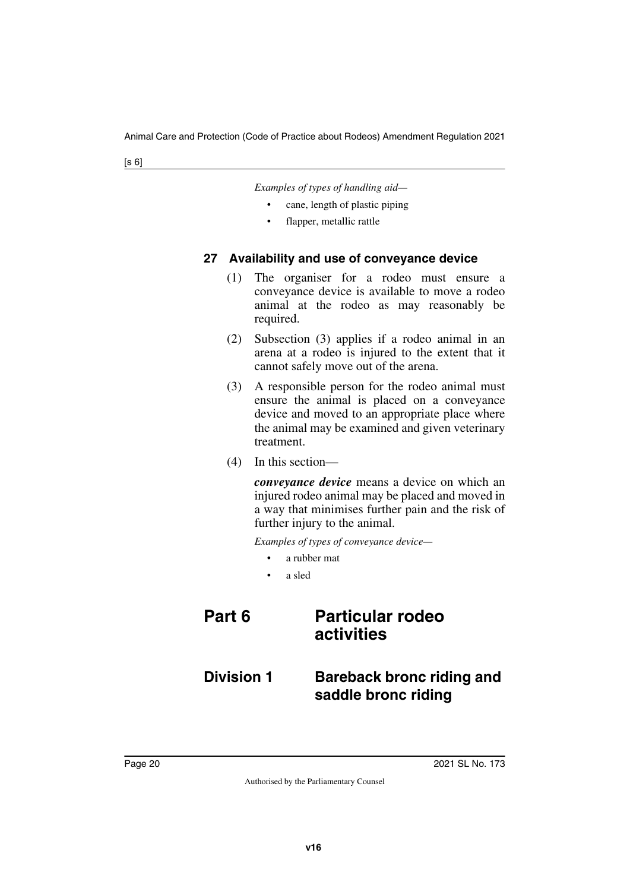|  | Examples of types of handling aid- |  |
|--|------------------------------------|--|
|  |                                    |  |

- cane, length of plastic piping
- flapper, metallic rattle

#### <span id="page-19-1"></span><span id="page-19-0"></span>**27 Availability and use of conveyance device**

- (1) The organiser for a rodeo must ensure a conveyance device is available to move a rodeo animal at the rodeo as may reasonably be required.
- (2) Subsection (3) applies if a rodeo animal in an arena at a rodeo is injured to the extent that it cannot safely move out of the arena.
- (3) A responsible person for the rodeo animal must ensure the animal is placed on a conveyance device and moved to an appropriate place where the animal may be examined and given veterinary treatment.
- (4) In this section—

*conveyance device* means a device on which an injured rodeo animal may be placed and moved in a way that minimises further pain and the risk of further injury to the animal.

*Examples of types of conveyance device—*

- a rubber mat
- <span id="page-19-5"></span><span id="page-19-3"></span>• a sled

## <span id="page-19-2"></span>**Part 6 Particular rodeo activities**

## <span id="page-19-4"></span>**Division 1 Bareback bronc riding and saddle bronc riding**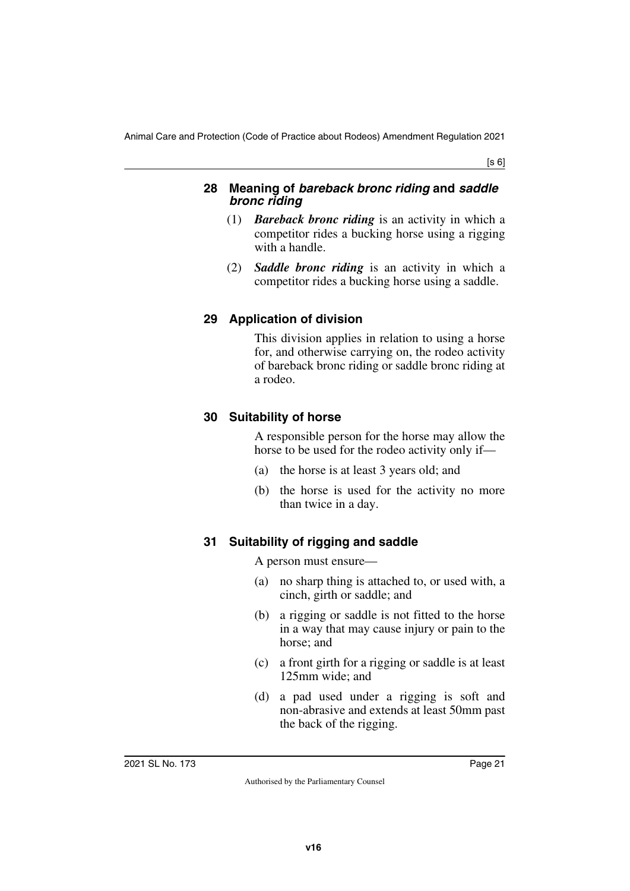#### <span id="page-20-1"></span><span id="page-20-0"></span>**28 Meaning of** *bareback bronc riding* **and** *saddle bronc riding*

- (1) *Bareback bronc riding* is an activity in which a competitor rides a bucking horse using a rigging with a handle.
- (2) *Saddle bronc riding* is an activity in which a competitor rides a bucking horse using a saddle.

## <span id="page-20-3"></span><span id="page-20-2"></span>**29 Application of division**

This division applies in relation to using a horse for, and otherwise carrying on, the rodeo activity of bareback bronc riding or saddle bronc riding at a rodeo.

## <span id="page-20-5"></span><span id="page-20-4"></span>**30 Suitability of horse**

A responsible person for the horse may allow the horse to be used for the rodeo activity only if—

- (a) the horse is at least 3 years old; and
- (b) the horse is used for the activity no more than twice in a day.

## <span id="page-20-7"></span><span id="page-20-6"></span>**31 Suitability of rigging and saddle**

A person must ensure—

- (a) no sharp thing is attached to, or used with, a cinch, girth or saddle; and
- (b) a rigging or saddle is not fitted to the horse in a way that may cause injury or pain to the horse; and
- (c) a front girth for a rigging or saddle is at least 125mm wide; and
- (d) a pad used under a rigging is soft and non-abrasive and extends at least 50mm past the back of the rigging.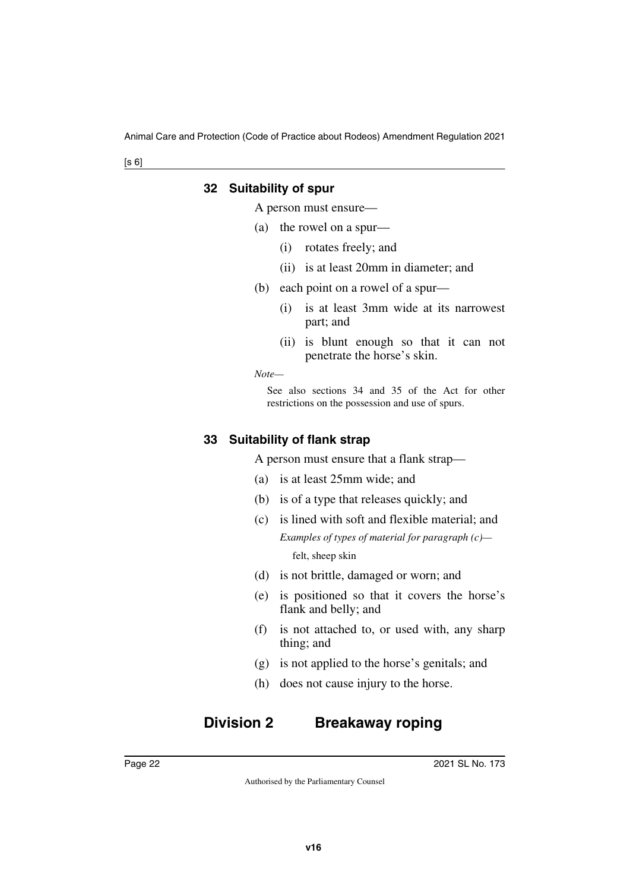#### <span id="page-21-1"></span><span id="page-21-0"></span>**32 Suitability of spur**

A person must ensure—

- (a) the rowel on a spur—
	- (i) rotates freely; and
	- (ii) is at least 20mm in diameter; and
- (b) each point on a rowel of a spur—
	- (i) is at least 3mm wide at its narrowest part; and
	- (ii) is blunt enough so that it can not penetrate the horse's skin.

*Note—*

See also sections 34 and 35 of the Act for other restrictions on the possession and use of spurs.

#### <span id="page-21-3"></span><span id="page-21-2"></span>**33 Suitability of flank strap**

A person must ensure that a flank strap—

- (a) is at least 25mm wide; and
- (b) is of a type that releases quickly; and
- (c) is lined with soft and flexible material; and *Examples of types of material for paragraph (c)* felt, sheep skin
- (d) is not brittle, damaged or worn; and
- (e) is positioned so that it covers the horse's flank and belly; and
- (f) is not attached to, or used with, any sharp thing; and
- (g) is not applied to the horse's genitals; and
- <span id="page-21-5"></span>(h) does not cause injury to the horse.

# <span id="page-21-4"></span>**Division 2 Breakaway roping**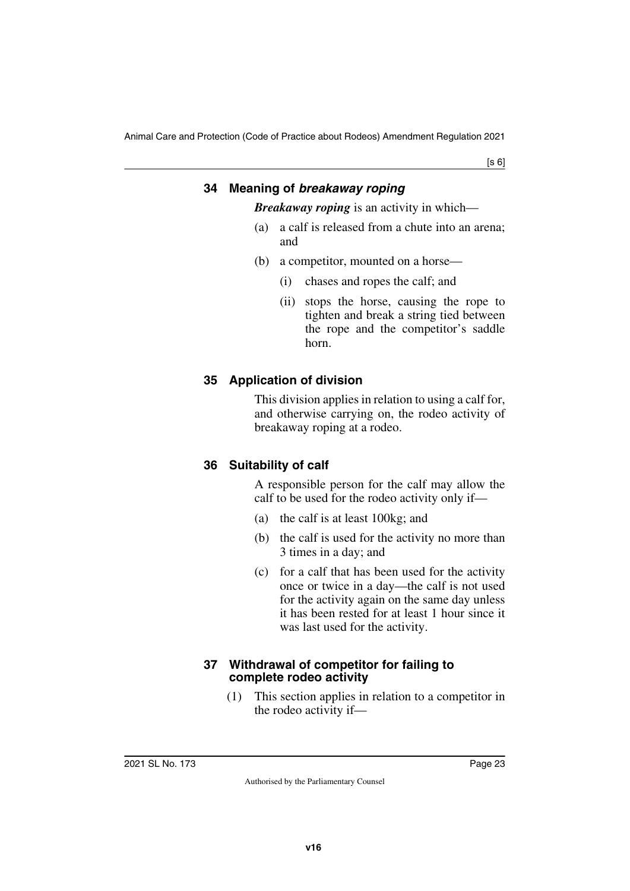[s 6]

## <span id="page-22-1"></span><span id="page-22-0"></span>**34 Meaning of** *breakaway roping Breakaway roping* is an activity in which—

- (a) a calf is released from a chute into an arena; and
- (b) a competitor, mounted on a horse—
	- (i) chases and ropes the calf; and
	- (ii) stops the horse, causing the rope to tighten and break a string tied between the rope and the competitor's saddle horn.

## <span id="page-22-3"></span><span id="page-22-2"></span>**35 Application of division**

This division applies in relation to using a calf for, and otherwise carrying on, the rodeo activity of breakaway roping at a rodeo.

## <span id="page-22-5"></span><span id="page-22-4"></span>**36 Suitability of calf**

A responsible person for the calf may allow the calf to be used for the rodeo activity only if—

- (a) the calf is at least 100kg; and
- (b) the calf is used for the activity no more than 3 times in a day; and
- (c) for a calf that has been used for the activity once or twice in a day—the calf is not used for the activity again on the same day unless it has been rested for at least 1 hour since it was last used for the activity.

#### <span id="page-22-7"></span><span id="page-22-6"></span>**37 Withdrawal of competitor for failing to complete rodeo activity**

(1) This section applies in relation to a competitor in the rodeo activity if—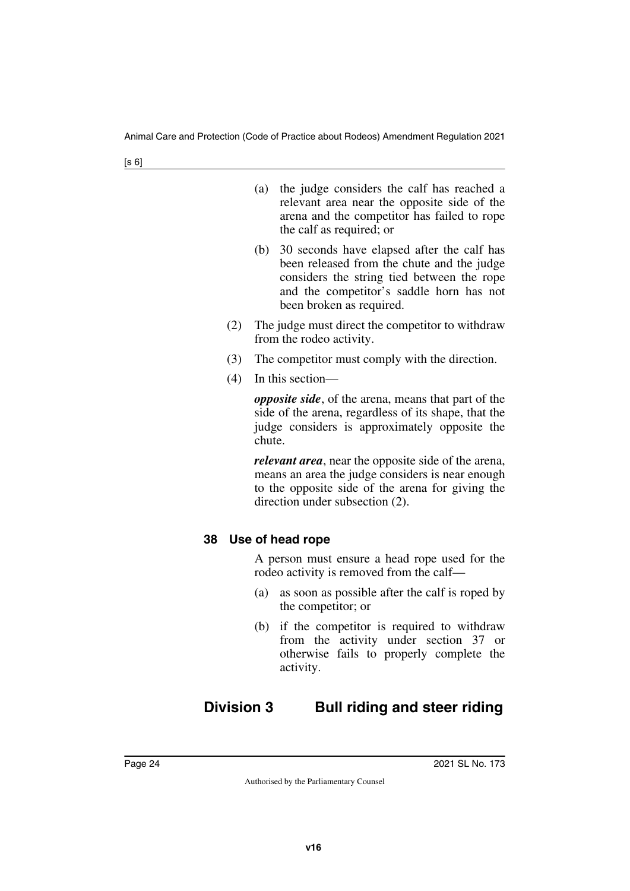| (a) the judge considers the calf has reached a |
|------------------------------------------------|
| relevant area near the opposite side of the    |
| arena and the competitor has failed to rope    |
| the calf as required; or                       |

- (b) 30 seconds have elapsed after the calf has been released from the chute and the judge considers the string tied between the rope and the competitor's saddle horn has not been broken as required.
- (2) The judge must direct the competitor to withdraw from the rodeo activity.
- (3) The competitor must comply with the direction.
- (4) In this section—

*opposite side*, of the arena, means that part of the side of the arena, regardless of its shape, that the judge considers is approximately opposite the chute.

*relevant area*, near the opposite side of the arena, means an area the judge considers is near enough to the opposite side of the arena for giving the direction under subsection (2).

## <span id="page-23-1"></span><span id="page-23-0"></span>**38 Use of head rope**

A person must ensure a head rope used for the rodeo activity is removed from the calf—

- (a) as soon as possible after the calf is roped by the competitor; or
- <span id="page-23-3"></span>(b) if the competitor is required to withdraw from the activity under section 37 or otherwise fails to properly complete the activity.

# <span id="page-23-2"></span>**Division 3 Bull riding and steer riding**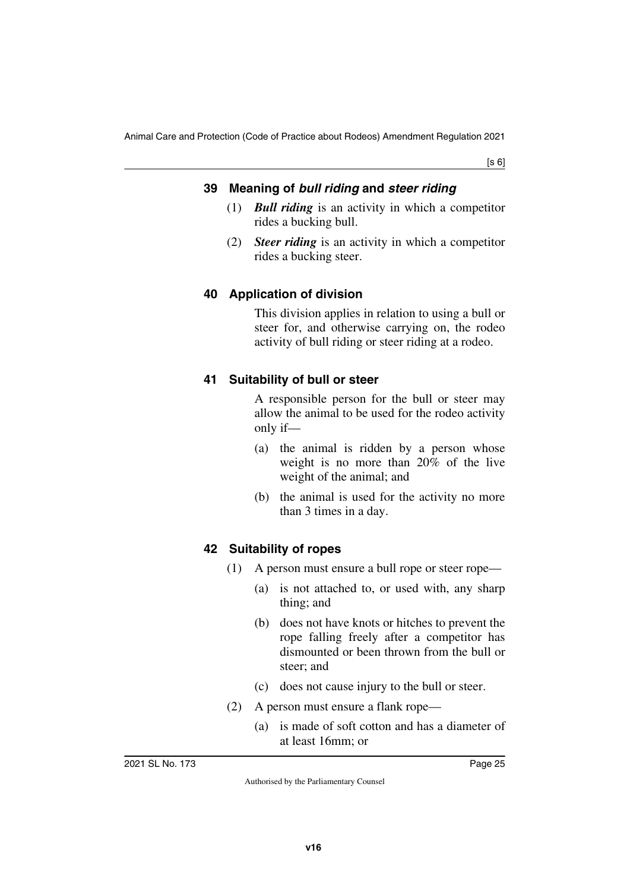#### <span id="page-24-1"></span><span id="page-24-0"></span>**39 Meaning of** *bull riding* **and** *steer riding*

- (1) *Bull riding* is an activity in which a competitor rides a bucking bull.
- (2) *Steer riding* is an activity in which a competitor rides a bucking steer.

#### <span id="page-24-3"></span><span id="page-24-2"></span>**40 Application of division**

This division applies in relation to using a bull or steer for, and otherwise carrying on, the rodeo activity of bull riding or steer riding at a rodeo.

#### <span id="page-24-5"></span><span id="page-24-4"></span>**41 Suitability of bull or steer**

A responsible person for the bull or steer may allow the animal to be used for the rodeo activity only if—

- (a) the animal is ridden by a person whose weight is no more than 20% of the live weight of the animal; and
- (b) the animal is used for the activity no more than 3 times in a day.

#### <span id="page-24-7"></span><span id="page-24-6"></span>**42 Suitability of ropes**

- (1) A person must ensure a bull rope or steer rope—
	- (a) is not attached to, or used with, any sharp thing; and
	- (b) does not have knots or hitches to prevent the rope falling freely after a competitor has dismounted or been thrown from the bull or steer; and
	- (c) does not cause injury to the bull or steer.
- (2) A person must ensure a flank rope—
	- (a) is made of soft cotton and has a diameter of at least 16mm; or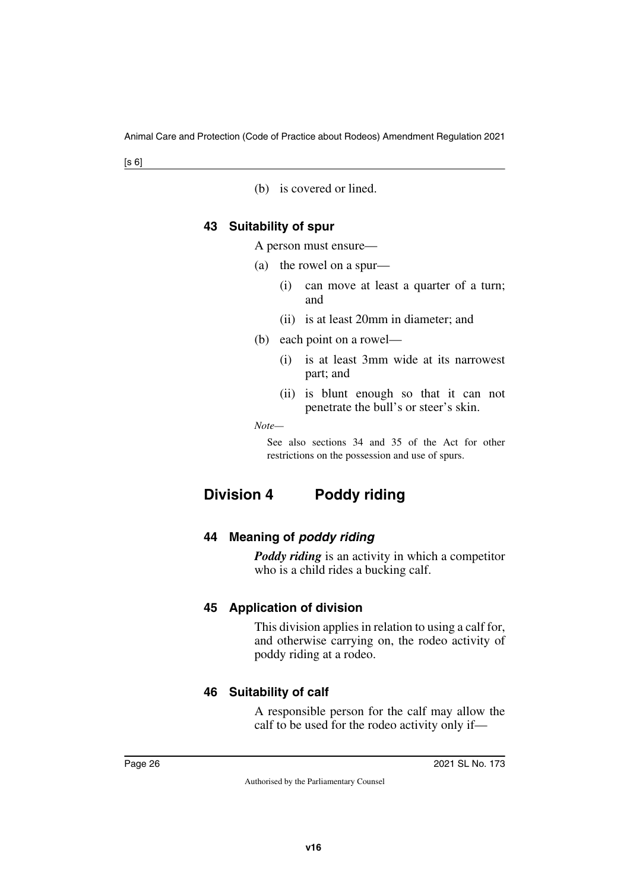(b) is covered or lined.

#### <span id="page-25-1"></span><span id="page-25-0"></span>**43 Suitability of spur**

A person must ensure—

- (a) the rowel on a spur—
	- (i) can move at least a quarter of a turn; and
	- (ii) is at least 20mm in diameter; and
- (b) each point on a rowel—
	- (i) is at least 3mm wide at its narrowest part; and
	- (ii) is blunt enough so that it can not penetrate the bull's or steer's skin.

*Note—*

<span id="page-25-3"></span>See also sections 34 and 35 of the Act for other restrictions on the possession and use of spurs.

# <span id="page-25-2"></span>**Division 4 Poddy riding**

## <span id="page-25-5"></span><span id="page-25-4"></span>**44 Meaning of** *poddy riding*

*Poddy riding* is an activity in which a competitor who is a child rides a bucking calf.

## <span id="page-25-7"></span><span id="page-25-6"></span>**45 Application of division**

This division applies in relation to using a calf for, and otherwise carrying on, the rodeo activity of poddy riding at a rodeo.

## <span id="page-25-9"></span><span id="page-25-8"></span>**46 Suitability of calf**

A responsible person for the calf may allow the calf to be used for the rodeo activity only if—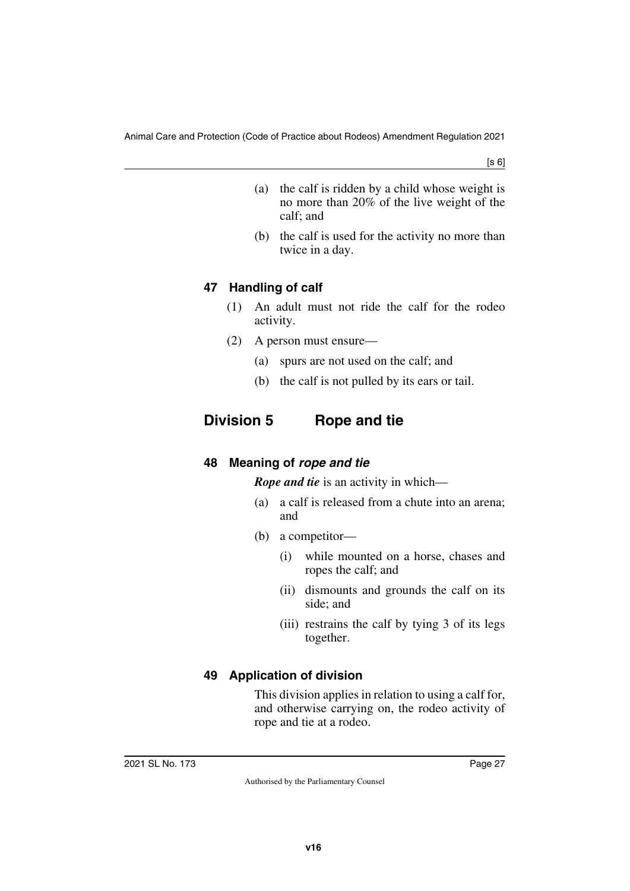- (a) the calf is ridden by a child whose weight is no more than 20% of the live weight of the calf; and
- (b) the calf is used for the activity no more than twice in a day.

## <span id="page-26-1"></span><span id="page-26-0"></span>**47 Handling of calf**

- (1) An adult must not ride the calf for the rodeo activity.
- (2) A person must ensure—
	- (a) spurs are not used on the calf; and
	- (b) the calf is not pulled by its ears or tail.

## <span id="page-26-2"></span>**Division 5 Rope and tie**

## <span id="page-26-5"></span><span id="page-26-4"></span>**48 Meaning of** *rope and tie*

<span id="page-26-3"></span>*Rope and tie* is an activity in which—

- (a) a calf is released from a chute into an arena; and
- (b) a competitor—
	- (i) while mounted on a horse, chases and ropes the calf; and
	- (ii) dismounts and grounds the calf on its side; and
	- (iii) restrains the calf by tying 3 of its legs together.

## <span id="page-26-7"></span><span id="page-26-6"></span>**49 Application of division**

This division applies in relation to using a calf for, and otherwise carrying on, the rodeo activity of rope and tie at a rodeo.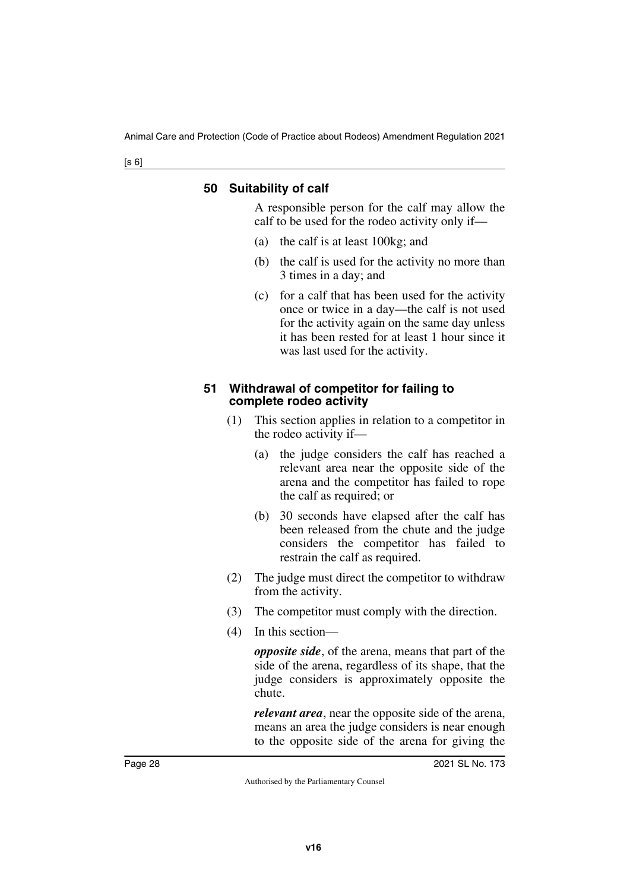#### <span id="page-27-1"></span><span id="page-27-0"></span>**50 Suitability of calf**

A responsible person for the calf may allow the calf to be used for the rodeo activity only if—

- (a) the calf is at least 100kg; and
- (b) the calf is used for the activity no more than 3 times in a day; and
- (c) for a calf that has been used for the activity once or twice in a day—the calf is not used for the activity again on the same day unless it has been rested for at least 1 hour since it was last used for the activity.

#### <span id="page-27-3"></span><span id="page-27-2"></span>**51 Withdrawal of competitor for failing to complete rodeo activity**

- (1) This section applies in relation to a competitor in the rodeo activity if—
	- (a) the judge considers the calf has reached a relevant area near the opposite side of the arena and the competitor has failed to rope the calf as required; or
	- (b) 30 seconds have elapsed after the calf has been released from the chute and the judge considers the competitor has failed to restrain the calf as required.
- (2) The judge must direct the competitor to withdraw from the activity.
- (3) The competitor must comply with the direction.
- (4) In this section—

*opposite side*, of the arena, means that part of the side of the arena, regardless of its shape, that the judge considers is approximately opposite the chute.

*relevant area*, near the opposite side of the arena, means an area the judge considers is near enough to the opposite side of the arena for giving the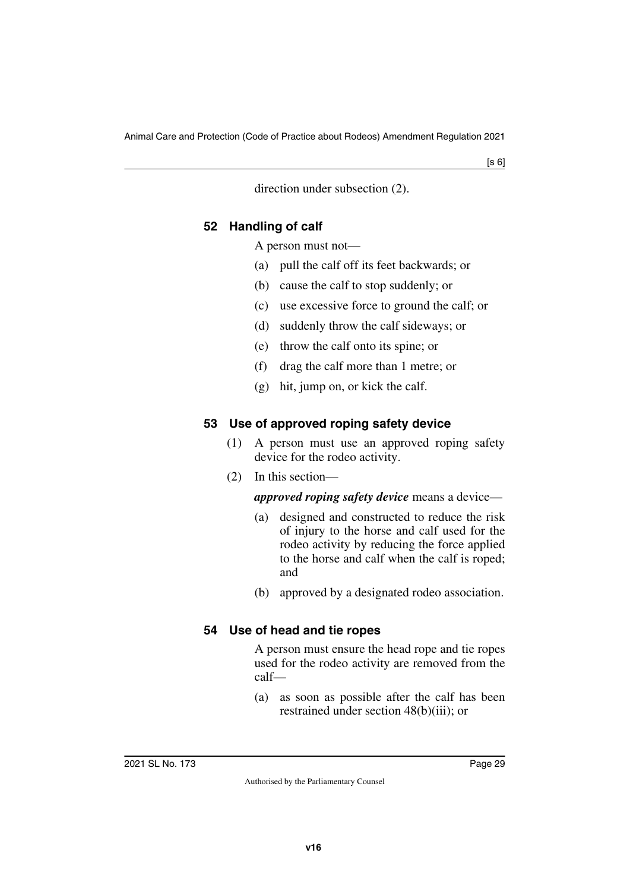direction under subsection (2).

#### <span id="page-28-1"></span><span id="page-28-0"></span>**52 Handling of calf**

A person must not—

- (a) pull the calf off its feet backwards; or
- (b) cause the calf to stop suddenly; or
- (c) use excessive force to ground the calf; or
- (d) suddenly throw the calf sideways; or
- (e) throw the calf onto its spine; or
- (f) drag the calf more than 1 metre; or
- (g) hit, jump on, or kick the calf.

## <span id="page-28-3"></span><span id="page-28-2"></span>**53 Use of approved roping safety device**

- (1) A person must use an approved roping safety device for the rodeo activity.
- (2) In this section—

## *approved roping safety device* means a device—

- (a) designed and constructed to reduce the risk of injury to the horse and calf used for the rodeo activity by reducing the force applied to the horse and calf when the calf is roped; and
- (b) approved by a designated rodeo association.

## <span id="page-28-5"></span><span id="page-28-4"></span>**54 Use of head and tie ropes**

A person must ensure the head rope and tie ropes used for the rodeo activity are removed from the calf—

(a) as soon as possible after the calf has been restrained under section 48(b)(iii); or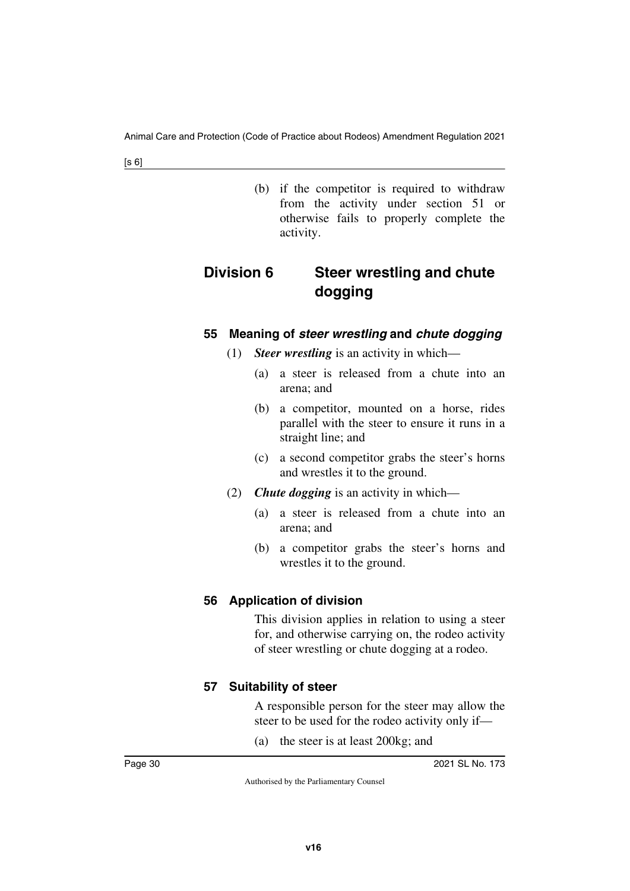<span id="page-29-1"></span>(b) if the competitor is required to withdraw from the activity under section 51 or otherwise fails to properly complete the activity.

# <span id="page-29-0"></span>**Division 6 Steer wrestling and chute dogging**

#### <span id="page-29-3"></span><span id="page-29-2"></span>**55 Meaning of** *steer wrestling* **and** *chute dogging*

- (1) *Steer wrestling* is an activity in which—
	- (a) a steer is released from a chute into an arena; and
	- (b) a competitor, mounted on a horse, rides parallel with the steer to ensure it runs in a straight line; and
	- (c) a second competitor grabs the steer's horns and wrestles it to the ground.
- (2) *Chute dogging* is an activity in which—
	- (a) a steer is released from a chute into an arena; and
	- (b) a competitor grabs the steer's horns and wrestles it to the ground.

## <span id="page-29-5"></span><span id="page-29-4"></span>**56 Application of division**

This division applies in relation to using a steer for, and otherwise carrying on, the rodeo activity of steer wrestling or chute dogging at a rodeo.

## <span id="page-29-7"></span><span id="page-29-6"></span>**57 Suitability of steer**

A responsible person for the steer may allow the steer to be used for the rodeo activity only if—

(a) the steer is at least 200kg; and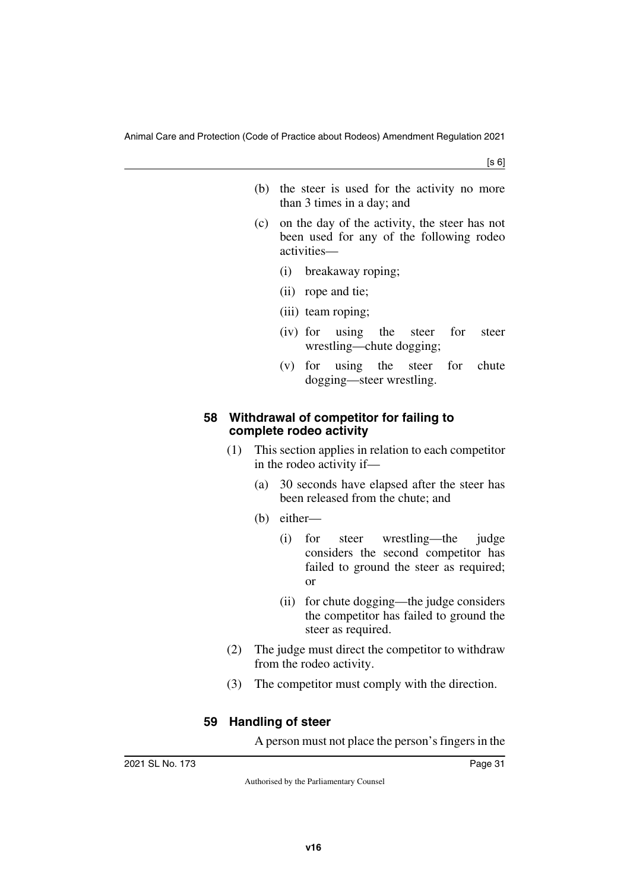- (b) the steer is used for the activity no more than 3 times in a day; and
- (c) on the day of the activity, the steer has not been used for any of the following rodeo activities—
	- (i) breakaway roping;
	- (ii) rope and tie;
	- (iii) team roping;
	- (iv) for using the steer for steer wrestling—chute dogging;
	- (v) for using the steer for chute dogging—steer wrestling.

#### <span id="page-30-1"></span><span id="page-30-0"></span>**58 Withdrawal of competitor for failing to complete rodeo activity**

- (1) This section applies in relation to each competitor in the rodeo activity if—
	- (a) 30 seconds have elapsed after the steer has been released from the chute; and
	- (b) either—
		- (i) for steer wrestling—the judge considers the second competitor has failed to ground the steer as required; or
		- (ii) for chute dogging—the judge considers the competitor has failed to ground the steer as required.
- (2) The judge must direct the competitor to withdraw from the rodeo activity.
- (3) The competitor must comply with the direction.

## <span id="page-30-3"></span><span id="page-30-2"></span>**59 Handling of steer**

A person must not place the person's fingers in the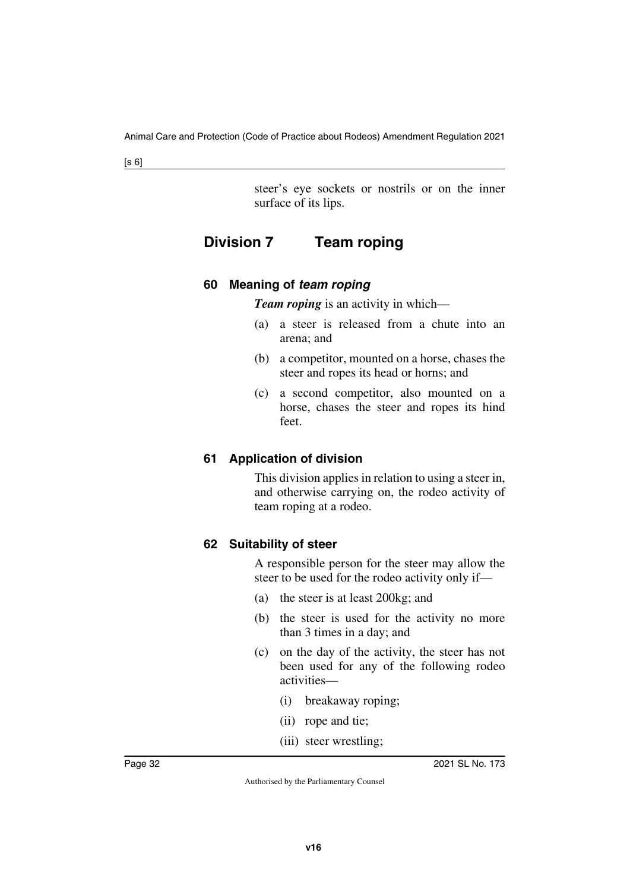<span id="page-31-1"></span>steer's eye sockets or nostrils or on the inner surface of its lips.

# <span id="page-31-0"></span>**Division 7 Team roping**

## <span id="page-31-3"></span><span id="page-31-2"></span>**60 Meaning of** *team roping*

*Team roping* is an activity in which—

- (a) a steer is released from a chute into an arena; and
- (b) a competitor, mounted on a horse, chases the steer and ropes its head or horns; and
- (c) a second competitor, also mounted on a horse, chases the steer and ropes its hind feet.

#### <span id="page-31-5"></span><span id="page-31-4"></span>**61 Application of division**

This division applies in relation to using a steer in, and otherwise carrying on, the rodeo activity of team roping at a rodeo.

#### <span id="page-31-7"></span><span id="page-31-6"></span>**62 Suitability of steer**

A responsible person for the steer may allow the steer to be used for the rodeo activity only if—

- (a) the steer is at least 200kg; and
- (b) the steer is used for the activity no more than 3 times in a day; and
- (c) on the day of the activity, the steer has not been used for any of the following rodeo activities—
	- (i) breakaway roping;
	- (ii) rope and tie;
	- (iii) steer wrestling;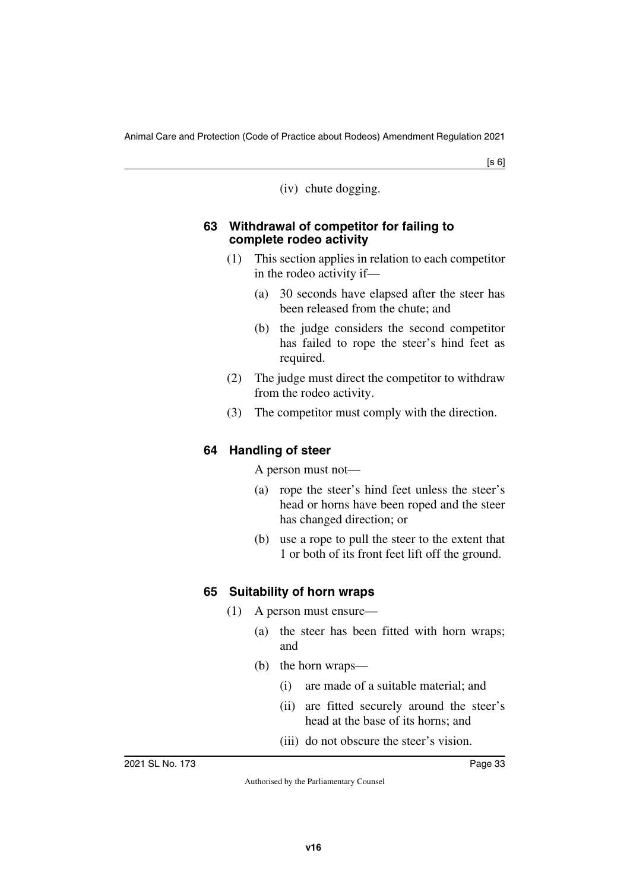(iv) chute dogging.

#### <span id="page-32-1"></span><span id="page-32-0"></span>**63 Withdrawal of competitor for failing to complete rodeo activity**

- (1) This section applies in relation to each competitor in the rodeo activity if—
	- (a) 30 seconds have elapsed after the steer has been released from the chute; and
	- (b) the judge considers the second competitor has failed to rope the steer's hind feet as required.
- (2) The judge must direct the competitor to withdraw from the rodeo activity.
- (3) The competitor must comply with the direction.

## <span id="page-32-3"></span><span id="page-32-2"></span>**64 Handling of steer**

A person must not—

- (a) rope the steer's hind feet unless the steer's head or horns have been roped and the steer has changed direction; or
- (b) use a rope to pull the steer to the extent that 1 or both of its front feet lift off the ground.

## <span id="page-32-5"></span><span id="page-32-4"></span>**65 Suitability of horn wraps**

- (1) A person must ensure—
	- (a) the steer has been fitted with horn wraps; and
	- (b) the horn wraps—
		- (i) are made of a suitable material; and
		- (ii) are fitted securely around the steer's head at the base of its horns; and
		- (iii) do not obscure the steer's vision.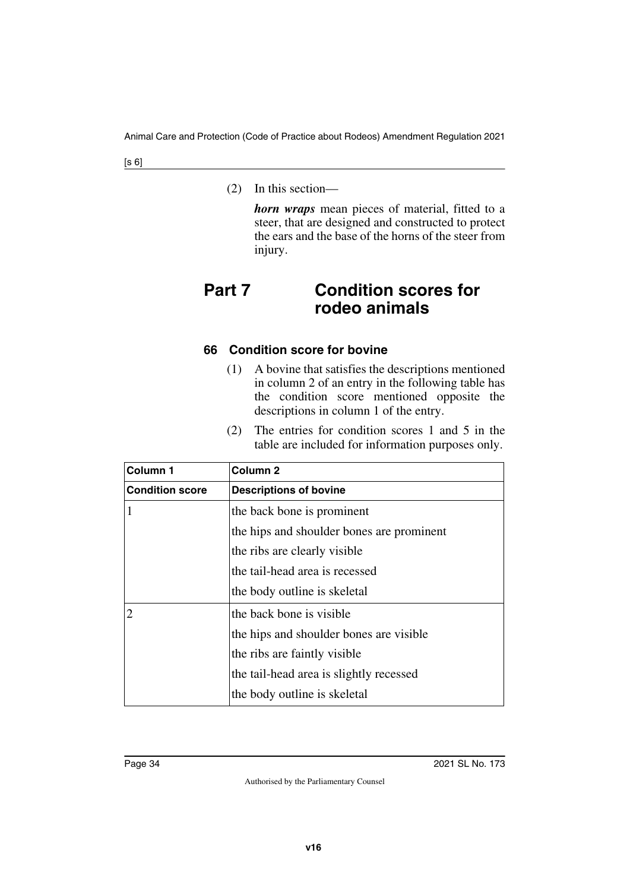(2) In this section—

<span id="page-33-1"></span>*horn wraps* mean pieces of material, fitted to a steer, that are designed and constructed to protect the ears and the base of the horns of the steer from injury.

# <span id="page-33-0"></span>**Part 7 Condition scores for rodeo animals**

#### <span id="page-33-3"></span><span id="page-33-2"></span>**66 Condition score for bovine**

- (1) A bovine that satisfies the descriptions mentioned in column 2 of an entry in the following table has the condition score mentioned opposite the descriptions in column 1 of the entry.
- (2) The entries for condition scores 1 and 5 in the table are included for information purposes only.

| Column <sub>1</sub>    | Column <sub>2</sub>                       |
|------------------------|-------------------------------------------|
| <b>Condition score</b> | <b>Descriptions of bovine</b>             |
| 1                      | the back bone is prominent                |
|                        | the hips and shoulder bones are prominent |
|                        | the ribs are clearly visible              |
|                        | the tail-head area is recessed            |
|                        | the body outline is skeletal              |
| $\overline{c}$         | the back bone is visible.                 |
|                        | the hips and shoulder bones are visible   |
|                        | the ribs are faintly visible              |
|                        | the tail-head area is slightly recessed   |
|                        | the body outline is skeletal              |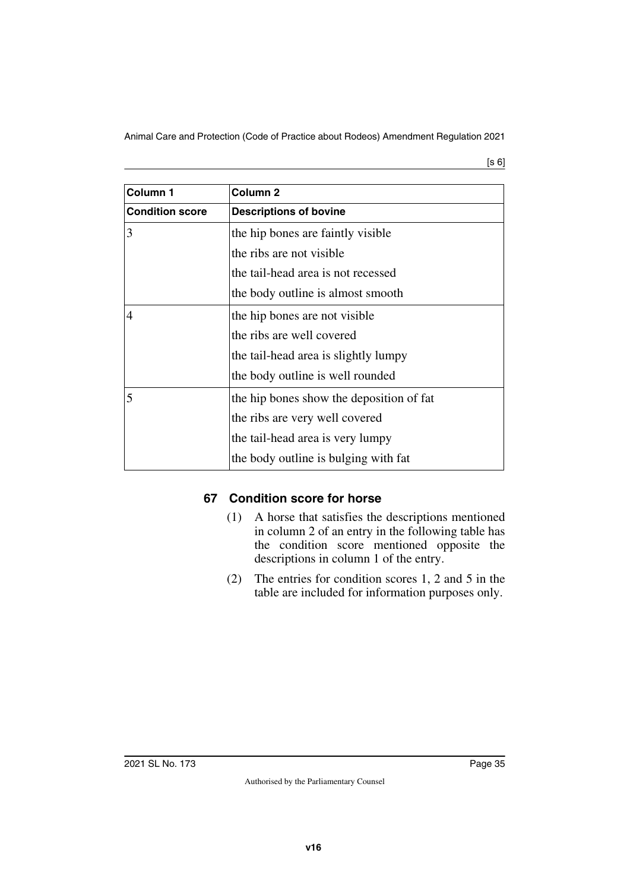[s 6]

| Column <sub>1</sub>    | Column <sub>2</sub>                      |
|------------------------|------------------------------------------|
| <b>Condition score</b> | <b>Descriptions of bovine</b>            |
| 3                      | the hip bones are faintly visible        |
|                        | the ribs are not visible                 |
|                        | the tail-head area is not recessed       |
|                        | the body outline is almost smooth        |
| $\overline{4}$         | the hip bones are not visible            |
|                        | the ribs are well covered                |
|                        | the tail-head area is slightly lumpy     |
|                        | the body outline is well rounded         |
| 5                      | the hip bones show the deposition of fat |
|                        | the ribs are very well covered           |
|                        | the tail-head area is very lumpy         |
|                        | the body outline is bulging with fat     |

## <span id="page-34-1"></span><span id="page-34-0"></span>**67 Condition score for horse**

- (1) A horse that satisfies the descriptions mentioned in column 2 of an entry in the following table has the condition score mentioned opposite the descriptions in column 1 of the entry.
- (2) The entries for condition scores 1, 2 and 5 in the table are included for information purposes only.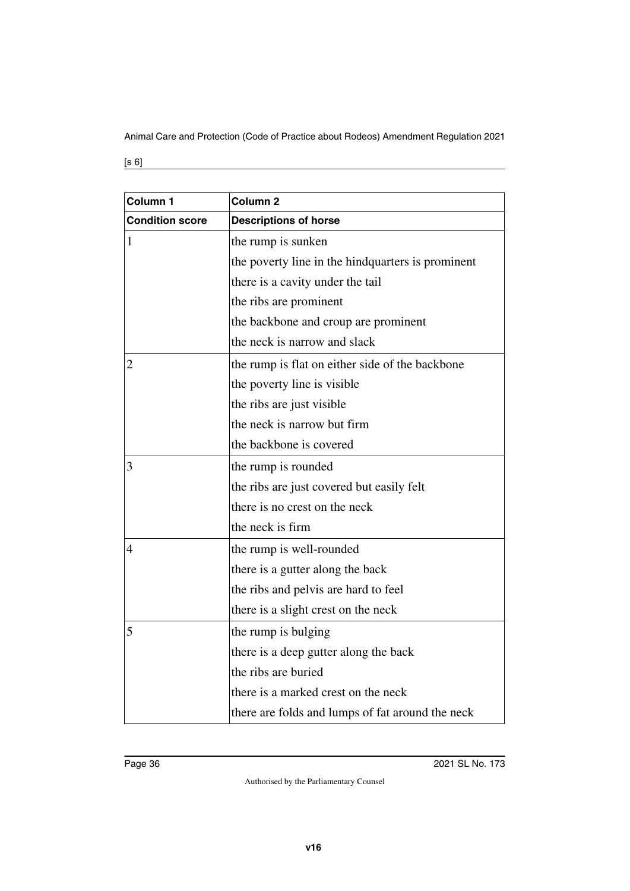[s 6]

| Column 1               | Column <sub>2</sub>                               |
|------------------------|---------------------------------------------------|
| <b>Condition score</b> | <b>Descriptions of horse</b>                      |
| 1                      | the rump is sunken                                |
|                        | the poverty line in the hindquarters is prominent |
|                        | there is a cavity under the tail                  |
|                        | the ribs are prominent                            |
|                        | the backbone and croup are prominent              |
|                        | the neck is narrow and slack                      |
| $\overline{2}$         | the rump is flat on either side of the backbone   |
|                        | the poverty line is visible                       |
|                        | the ribs are just visible                         |
|                        | the neck is narrow but firm                       |
|                        | the backbone is covered                           |
| 3                      | the rump is rounded                               |
|                        | the ribs are just covered but easily felt         |
|                        | there is no crest on the neck                     |
|                        | the neck is firm                                  |
| $\overline{4}$         | the rump is well-rounded                          |
|                        | there is a gutter along the back                  |
|                        | the ribs and pelvis are hard to feel              |
|                        | there is a slight crest on the neck               |
| 5                      | the rump is bulging                               |
|                        | there is a deep gutter along the back             |
|                        | the ribs are buried                               |
|                        | there is a marked crest on the neck               |
|                        | there are folds and lumps of fat around the neck  |